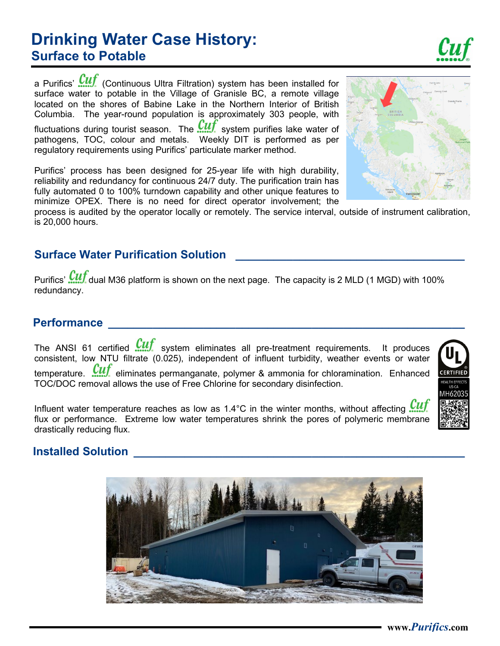#### **www.***Purifics***.com**

# **Drinking Water Case History: Surface to Potable**

a Purifics'  $\frac{Cuf}{T}$  (Continuous Ultra Filtration) system has been installed for surface water to potable in the Village of Granisle BC, a remote village located on the shores of Babine Lake in the Northern Interior of British Columbia. The year-round population is approximately 303 people, with

fluctuations during tourist season. The  $\frac{Cut}{dt}$  system purifies lake water of pathogens, TOC, colour and metals. Weekly DIT is performed as per regulatory requirements using Purifics' particulate marker method.

Purifics' process has been designed for 25-year life with high durability, reliability and redundancy for continuous 24/7 duty. The purification train has fully automated 0 to 100% turndown capability and other unique features to minimize OPEX. There is no need for direct operator involvement; the

process is audited by the operator locally or remotely. The service interval, outside of instrument calibration, is 20,000 hours.

## **Surface Water Purification Solution \_\_\_\_\_\_\_\_\_\_\_\_\_\_\_\_\_\_\_\_\_\_\_\_\_\_\_\_\_\_\_\_\_\_\_\_**

Purifics'  $\frac{Cuf}{d}$  dual M36 platform is shown on the next page. The capacity is 2 MLD (1 MGD) with 100% redundancy.

#### **Performance \_\_\_\_\_\_\_\_\_\_\_\_\_\_\_\_\_\_\_\_\_\_\_\_\_\_\_\_\_\_\_\_\_\_\_\_\_\_\_\_\_\_\_\_\_\_\_\_\_\_\_\_\_\_\_\_**

The ANSI 61 certified **WII** system eliminates all pre-treatment requirements. It produces consistent, low NTU filtrate (0.025), independent of influent turbidity, weather events or water temperature.  $\frac{CUf}{LU}$  eliminates permanganate, polymer & ammonia for chloramination. Enhanced TOC/DOC removal allows the use of Free Chlorine for secondary disinfection.

Influent water temperature reaches as low as 1.4°C in the winter months, without affecting  $\frac{Cutf}{dt}$ flux or performance. Extreme low water temperatures shrink the pores of polymeric membrane drastically reducing flux.

## **Installed Solution**